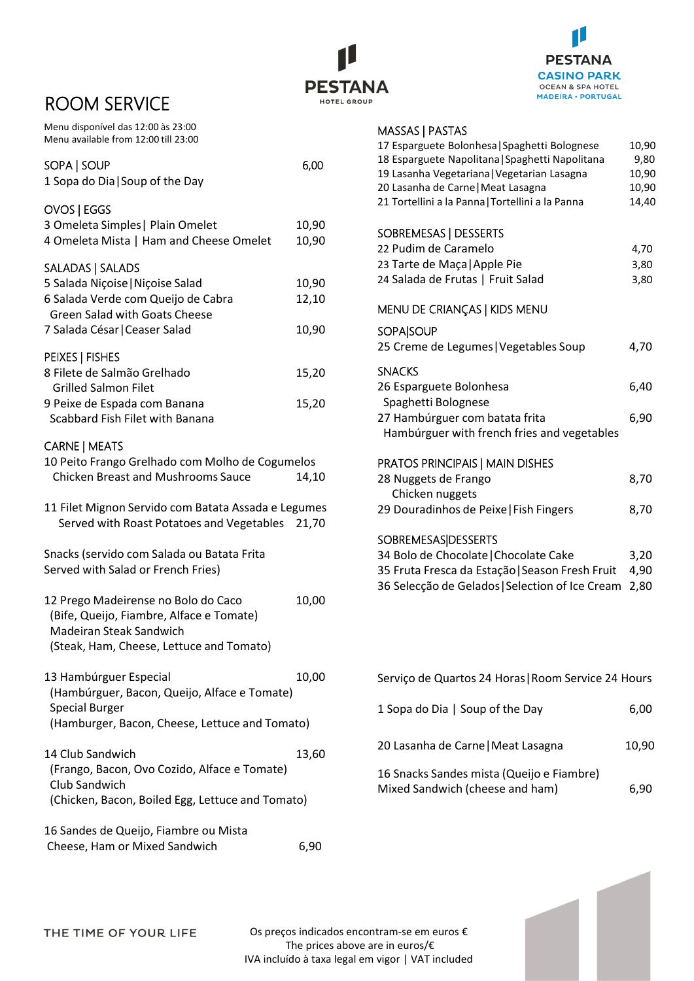# ROOM SERVICE

Menu disponível das 12:00 às 23:00 Menu available from 12:00 till 23:00 **PESTANA HOTEL GROUP** 



### MASSAS | PASTAS

| SOPA   SOUP<br>1 Sopa do Dia   Soup of the Day                                                                                                                      | 6,00                    |
|---------------------------------------------------------------------------------------------------------------------------------------------------------------------|-------------------------|
| OVOS   EGGS<br>3 Omeleta Simples   Plain Omelet<br>4 Omeleta Mista   Ham and Cheese Omelet                                                                          | 10,90<br>10,90          |
| SALADAS   SALADS<br>5 Salada Niçoise   Niçoise Salad<br>6 Salada Verde com Queijo de Cabra<br><b>Green Salad with Goats Cheese</b><br>7 Salada César   Ceaser Salad | 10,90<br>12,10<br>10,90 |
| PEIXES   FISHES<br>8 Filete de Salmão Grelhado<br><b>Grilled Salmon Filet</b><br>9 Peixe de Espada com Banana<br>Scabbard Fish Filet with Banana                    | 15,20<br>15,20          |
| <b>CARNE   MEATS</b><br>10 Peito Frango Grelhado com Molho de Cogumelos<br><b>Chicken Breast and Mushrooms Sauce</b>                                                | 14,10                   |
| 11 Filet Mignon Servido com Batata Assada e Legumes<br>Served with Roast Potatoes and Vegetables                                                                    | 21,70                   |
| Snacks (servido com Salada ou Batata Frita<br>Served with Salad or French Fries)                                                                                    |                         |
| 12 Prego Madeirense no Bolo do Caco<br>(Bife, Queijo, Fiambre, Alface e Tomate)<br>Madeiran Steak Sandwich<br>(Steak, Ham, Cheese, Lettuce and Tomato)              | 10,00                   |
| 13 Hambúrguer Especial<br>(Hambúrguer, Bacon, Queijo, Alface e Tomate)<br><b>Special Burger</b><br>(Hamburger, Bacon, Cheese, Lettuce and Tomato)                   | 10,00                   |
| 14 Club Sandwich<br>(Frango, Bacon, Ovo Cozido, Alface e Tomate)<br>Club Sandwich<br>(Chicken, Bacon, Boiled Egg, Lettuce and Tomato)                               | 13,60                   |
| 16 Sandes de Queijo. Fiambre ou Mista                                                                                                                               |                         |

Sandes de Queijo, Fiambre ou Mista Cheese, Ham or Mixed Sandwich 6,90

| כאו כחזן כאככאויו                                |       |
|--------------------------------------------------|-------|
| 17 Esparguete Bolonhesa   Spaghetti Bolognese    | 10,90 |
| 18 Esparguete Napolitana   Spaghetti Napolitana  | 9,80  |
| 19 Lasanha Vegetariana   Vegetarian Lasagna      | 10,90 |
| 20 Lasanha de Carne   Meat Lasagna               | 10,90 |
| 21 Tortellini a la Panna   Tortellini a la Panna | 14,40 |
| SOBREMESAS   DESSERTS                            |       |
| 22 Pudim de Caramelo                             | 4,70  |
| 23 Tarte de Maça   Apple Pie                     | 3,80  |
| 24 Salada de Frutas   Fruit Salad                | 3,80  |
|                                                  |       |
| MENU DE CRIANÇAS   KIDS MENU                     |       |
| <b>SOPA SOUP</b>                                 |       |
| 25 Creme de Legumes   Vegetables Soup            | 4,70  |
| <b>SNACKS</b>                                    |       |
| 26 Esparguete Bolonhesa                          | 6,40  |
| Spaghetti Bolognese                              |       |
| 27 Hambúrguer com batata frita                   | 6,90  |
| Hambúrguer with french fries and vegetables      |       |
| <b>PRATOS PRINCIPAIS   MAIN DISHES</b>           |       |
| 28 Nuggets de Frango                             | 8,70  |
| Chicken nuggets                                  |       |
| 29 Douradinhos de Peixe   Fish Fingers           | 8,70  |
|                                                  |       |
| <b>SOBREMESAS DESSERTS</b>                       |       |
| 34 Bolo de Chocolate   Chocolate Cake            | 3,20  |
| 35 Fruta Fresca da Estação   Season Fresh Fruit  | 4,90  |
| 36 Selecção de Gelados   Selection of Ice Cream  | 2,80  |
|                                                  |       |

| Serviço de Quartos 24 Horas   Room Service 24 Hours                          |       |
|------------------------------------------------------------------------------|-------|
| 1 Sopa do Dia   Soup of the Day                                              | 6,00  |
| 20 Lasanha de Carne   Meat Lasagna                                           | 10.90 |
| 16 Snacks Sandes mista (Queijo e Fiambre)<br>Mixed Sandwich (cheese and ham) | 6.90  |

Os preços indicados encontram-se em euros € The prices above are in euros/€ IVA incluído à taxa legal em vigor | VAT included